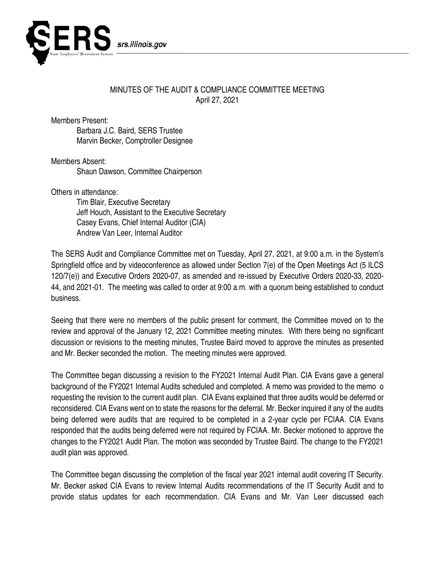

## MINUTES OF THE AUDIT & COMPLIANCE COMMITTEE MEETING April 27, 2021

Members Present:

Barbara J.C. Baird, SERS Trustee Marvin Becker, Comptroller Designee

Members Absent: Shaun Dawson, Committee Chairperson

Others in attendance:

Tim Blair, Executive Secretary Jeff Houch, Assistant to the Executive Secretary Casey Evans, Chief Internal Auditor (CIA) Andrew Van Leer, Internal Auditor

The SERS Audit and Compliance Committee met on Tuesday, April 27, 2021, at 9:00 a.m. in the System's Springfield office and by videoconference as allowed under Section 7(e) of the Open Meetings Act (5 ILCS 120/7(e)) and Executive Orders 2020-07, as amended and re-issued by Executive Orders 2020-33, 2020- 44, and 2021-01. The meeting was called to order at 9:00 a.m. with a quorum being established to conduct business.

Seeing that there were no members of the public present for comment, the Committee moved on to the review and approval of the January 12, 2021 Committee meeting minutes. With there being no significant discussion or revisions to the meeting minutes, Trustee Baird moved to approve the minutes as presented and Mr. Becker seconded the motion. The meeting minutes were approved.

The Committee began discussing a revision to the FY2021 Internal Audit Plan. CIA Evans gave a general background of the FY2021 Internal Audits scheduled and completed. A memo was provided to the memo o requesting the revision to the current audit plan. CIA Evans explained that three audits would be deferred or reconsidered. CIA Evans went on to state the reasons for the deferral. Mr. Becker inquired if any of the audits being deferred were audits that are required to be completed in a 2-year cycle per FCIAA. CIA Evans responded that the audits being deferred were not required by FCIAA. Mr. Becker motioned to approve the changes to the FY2021 Audit Plan. The motion was seconded by Trustee Baird. The change to the FY2021 audit plan was approved.

The Committee began discussing the completion of the fiscal year 2021 internal audit covering IT Security. Mr. Becker asked CIA Evans to review Internal Audits recommendations of the IT Security Audit and to provide status updates for each recommendation. CIA Evans and Mr. Van Leer discussed each